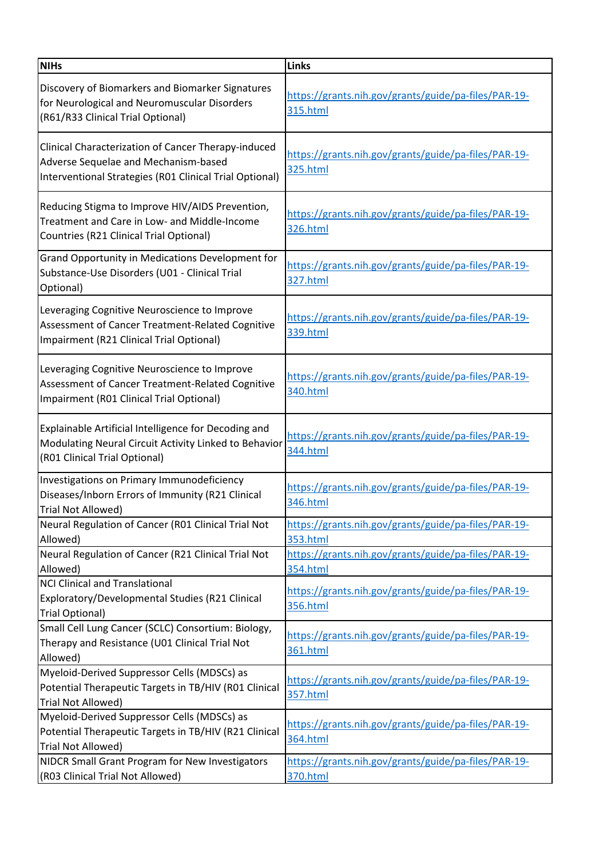| <b>NIHs</b>                                                                                                                                            | Links                                                                   |
|--------------------------------------------------------------------------------------------------------------------------------------------------------|-------------------------------------------------------------------------|
| Discovery of Biomarkers and Biomarker Signatures<br>for Neurological and Neuromuscular Disorders<br>(R61/R33 Clinical Trial Optional)                  | https://grants.nih.gov/grants/guide/pa-files/PAR-19-<br><b>315.html</b> |
| Clinical Characterization of Cancer Therapy-induced<br>Adverse Sequelae and Mechanism-based<br>Interventional Strategies (R01 Clinical Trial Optional) | https://grants.nih.gov/grants/guide/pa-files/PAR-19-<br>325.html        |
| Reducing Stigma to Improve HIV/AIDS Prevention,<br>Treatment and Care in Low- and Middle-Income<br>Countries (R21 Clinical Trial Optional)             | https://grants.nih.gov/grants/guide/pa-files/PAR-19-<br>326.html        |
| Grand Opportunity in Medications Development for<br>Substance-Use Disorders (U01 - Clinical Trial<br>Optional)                                         | https://grants.nih.gov/grants/guide/pa-files/PAR-19-<br>327.html        |
| Leveraging Cognitive Neuroscience to Improve<br>Assessment of Cancer Treatment-Related Cognitive<br>Impairment (R21 Clinical Trial Optional)           | https://grants.nih.gov/grants/guide/pa-files/PAR-19-<br>339.html        |
| Leveraging Cognitive Neuroscience to Improve<br>Assessment of Cancer Treatment-Related Cognitive<br>Impairment (R01 Clinical Trial Optional)           | https://grants.nih.gov/grants/guide/pa-files/PAR-19-<br>340.html        |
| Explainable Artificial Intelligence for Decoding and<br>Modulating Neural Circuit Activity Linked to Behavior<br>(R01 Clinical Trial Optional)         | https://grants.nih.gov/grants/guide/pa-files/PAR-19-<br>344.html        |
| Investigations on Primary Immunodeficiency<br>Diseases/Inborn Errors of Immunity (R21 Clinical<br>Trial Not Allowed)                                   | https://grants.nih.gov/grants/guide/pa-files/PAR-19-<br>346.html        |
| Neural Regulation of Cancer (R01 Clinical Trial Not<br>Allowed)                                                                                        | https://grants.nih.gov/grants/guide/pa-files/PAR-19-<br>353.html        |
| Neural Regulation of Cancer (R21 Clinical Trial Not<br>Allowed)                                                                                        | https://grants.nih.gov/grants/guide/pa-files/PAR-19-<br>354.html        |
| <b>NCI Clinical and Translational</b><br>Exploratory/Developmental Studies (R21 Clinical<br><b>Trial Optional)</b>                                     | https://grants.nih.gov/grants/guide/pa-files/PAR-19-<br>356.html        |
| Small Cell Lung Cancer (SCLC) Consortium: Biology,<br>Therapy and Resistance (U01 Clinical Trial Not<br>Allowed)                                       | https://grants.nih.gov/grants/guide/pa-files/PAR-19-<br>361.html        |
| Myeloid-Derived Suppressor Cells (MDSCs) as<br>Potential Therapeutic Targets in TB/HIV (R01 Clinical<br>Trial Not Allowed)                             | https://grants.nih.gov/grants/guide/pa-files/PAR-19-<br>357.html        |
| Myeloid-Derived Suppressor Cells (MDSCs) as<br>Potential Therapeutic Targets in TB/HIV (R21 Clinical<br>Trial Not Allowed)                             | https://grants.nih.gov/grants/guide/pa-files/PAR-19-<br>364.html        |
| NIDCR Small Grant Program for New Investigators<br>(R03 Clinical Trial Not Allowed)                                                                    | https://grants.nih.gov/grants/guide/pa-files/PAR-19-<br>370.html        |